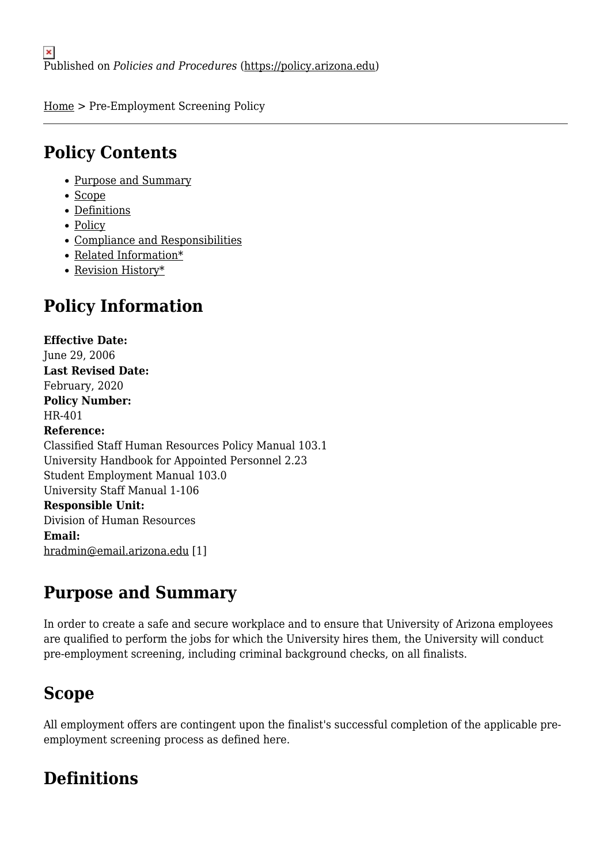[Home](https://policy.arizona.edu/) > Pre-Employment Screening Policy

## **Policy Contents**

- [Purpose and Summary](#page-0-0)
- [Scope](#page-0-1)
- [Definitions](#page-0-2)
- [Policy](#page-1-0)
- [Compliance and Responsibilities](#page-2-0)
- [Related Information\\*](#page-3-0)
- [Revision History\\*](#page-3-1)

# **Policy Information**

**Effective Date:**  June 29, 2006 **Last Revised Date:**  February, 2020 **Policy Number:**  HR-401 **Reference:**  Classified Staff Human Resources Policy Manual 103.1 University Handbook for Appointed Personnel 2.23 Student Employment Manual 103.0 University Staff Manual 1-106 **Responsible Unit:**  Division of Human Resources **Email:**  [hradmin@email.arizona.edu](mailto:hradmin@email.arizona.edu) [1]

# <span id="page-0-0"></span>**Purpose and Summary**

In order to create a safe and secure workplace and to ensure that University of Arizona employees are qualified to perform the jobs for which the University hires them, the University will conduct pre-employment screening, including criminal background checks, on all finalists.

# <span id="page-0-1"></span>**Scope**

All employment offers are contingent upon the finalist's successful completion of the applicable preemployment screening process as defined here.

# <span id="page-0-2"></span>**Definitions**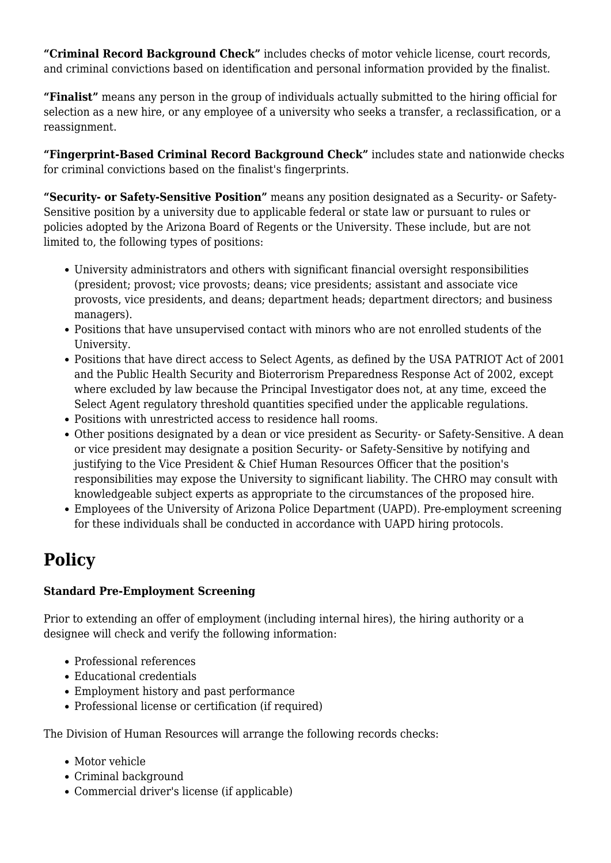**"Criminal Record Background Check"** includes checks of motor vehicle license, court records, and criminal convictions based on identification and personal information provided by the finalist.

**"Finalist"** means any person in the group of individuals actually submitted to the hiring official for selection as a new hire, or any employee of a university who seeks a transfer, a reclassification, or a reassignment.

**"Fingerprint-Based Criminal Record Background Check"** includes state and nationwide checks for criminal convictions based on the finalist's fingerprints.

**"Security- or Safety-Sensitive Position"** means any position designated as a Security- or Safety-Sensitive position by a university due to applicable federal or state law or pursuant to rules or policies adopted by the Arizona Board of Regents or the University. These include, but are not limited to, the following types of positions:

- University administrators and others with significant financial oversight responsibilities (president; provost; vice provosts; deans; vice presidents; assistant and associate vice provosts, vice presidents, and deans; department heads; department directors; and business managers).
- Positions that have unsupervised contact with minors who are not enrolled students of the University.
- Positions that have direct access to Select Agents, as defined by the USA PATRIOT Act of 2001 and the Public Health Security and Bioterrorism Preparedness Response Act of 2002, except where excluded by law because the Principal Investigator does not, at any time, exceed the Select Agent regulatory threshold quantities specified under the applicable regulations.
- Positions with unrestricted access to residence hall rooms.
- Other positions designated by a dean or vice president as Security- or Safety-Sensitive. A dean or vice president may designate a position Security- or Safety-Sensitive by notifying and justifying to the Vice President & Chief Human Resources Officer that the position's responsibilities may expose the University to significant liability. The CHRO may consult with knowledgeable subject experts as appropriate to the circumstances of the proposed hire.
- Employees of the University of Arizona Police Department (UAPD). Pre-employment screening for these individuals shall be conducted in accordance with UAPD hiring protocols.

# <span id="page-1-0"></span>**Policy**

### **Standard Pre-Employment Screening**

Prior to extending an offer of employment (including internal hires), the hiring authority or a designee will check and verify the following information:

- Professional references
- Educational credentials
- Employment history and past performance
- Professional license or certification (if required)

The Division of Human Resources will arrange the following records checks:

- Motor vehicle
- Criminal background
- Commercial driver's license (if applicable)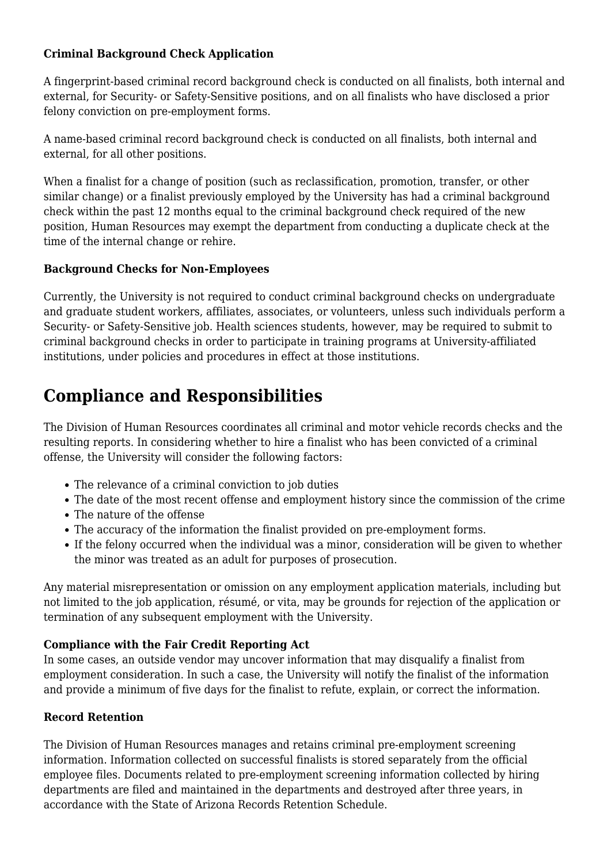### **Criminal Background Check Application**

A fingerprint-based criminal record background check is conducted on all finalists, both internal and external, for Security- or Safety-Sensitive positions, and on all finalists who have disclosed a prior felony conviction on pre-employment forms.

A name-based criminal record background check is conducted on all finalists, both internal and external, for all other positions.

When a finalist for a change of position (such as reclassification, promotion, transfer, or other similar change) or a finalist previously employed by the University has had a criminal background check within the past 12 months equal to the criminal background check required of the new position, Human Resources may exempt the department from conducting a duplicate check at the time of the internal change or rehire.

#### **Background Checks for Non-Employees**

Currently, the University is not required to conduct criminal background checks on undergraduate and graduate student workers, affiliates, associates, or volunteers, unless such individuals perform a Security- or Safety-Sensitive job. Health sciences students, however, may be required to submit to criminal background checks in order to participate in training programs at University-affiliated institutions, under policies and procedures in effect at those institutions.

# <span id="page-2-0"></span>**Compliance and Responsibilities**

The Division of Human Resources coordinates all criminal and motor vehicle records checks and the resulting reports. In considering whether to hire a finalist who has been convicted of a criminal offense, the University will consider the following factors:

- The relevance of a criminal conviction to job duties
- The date of the most recent offense and employment history since the commission of the crime
- The nature of the offense
- The accuracy of the information the finalist provided on pre-employment forms.
- If the felony occurred when the individual was a minor, consideration will be given to whether the minor was treated as an adult for purposes of prosecution.

Any material misrepresentation or omission on any employment application materials, including but not limited to the job application, résumé, or vita, may be grounds for rejection of the application or termination of any subsequent employment with the University.

### **Compliance with the Fair Credit Reporting Act**

In some cases, an outside vendor may uncover information that may disqualify a finalist from employment consideration. In such a case, the University will notify the finalist of the information and provide a minimum of five days for the finalist to refute, explain, or correct the information.

### **Record Retention**

The Division of Human Resources manages and retains criminal pre-employment screening information. Information collected on successful finalists is stored separately from the official employee files. Documents related to pre-employment screening information collected by hiring departments are filed and maintained in the departments and destroyed after three years, in accordance with the State of Arizona Records Retention Schedule.